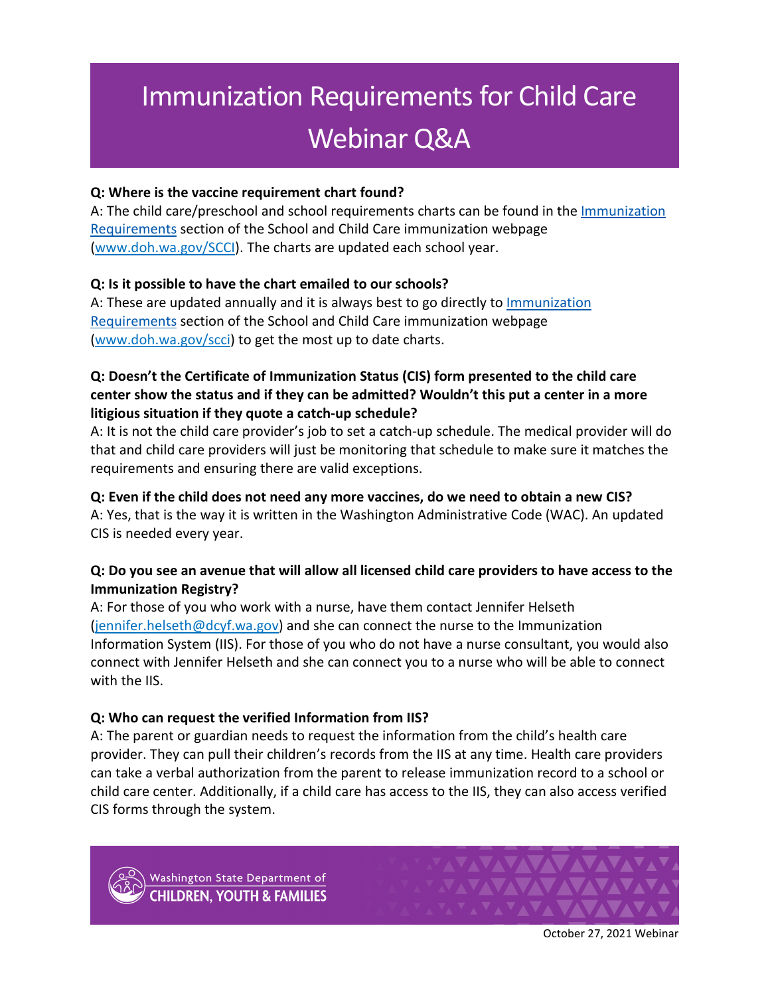# Immunization Requirements for Child Care Webinar Q&A

## **Q: Where is the vaccine requirement chart found?**

A: The child care/preschool and school requirements charts can be found in the [Immunization](https://www.doh.wa.gov/CommunityandEnvironment/Schools/Immunization#reqs) [Requirements](https://www.doh.wa.gov/CommunityandEnvironment/Schools/Immunization#reqs) section of the School and Child Care immunization webpage [\(www.doh.wa.gov/SCCI\)](http://www.doh.wa.gov/SCCI). The charts are updated each school year.

### **Q: Is it possible to have the chart emailed to our schools?**

A: These are updated annually and it is always best to go directly to [Immunization](https://www.doh.wa.gov/CommunityandEnvironment/Schools/Immunization#reqs) [Requirements](https://www.doh.wa.gov/CommunityandEnvironment/Schools/Immunization#reqs) section of the School and Child Care immunization webpage [\(www.doh.wa.gov/scci\)](http://www.doh.wa.gov/scci) to get the most up to date charts.

## **Q: Doesn't the Certificate of Immunization Status (CIS) form presented to the child care center show the status and if they can be admitted? Wouldn't this put a center in a more litigious situation if they quote a catch-up schedule?**

A: It is not the child care provider's job to set a catch-up schedule. The medical provider will do that and child care providers will just be monitoring that schedule to make sure it matches the requirements and ensuring there are valid exceptions.

## **Q: Even if the child does not need any more vaccines, do we need to obtain a new CIS?**

A: Yes, that is the way it is written in the Washington Administrative Code (WAC). An updated CIS is needed every year.

# **Q: Do you see an avenue that will allow all licensed child care providers to have access to the Immunization Registry?**

A: For those of you who work with a nurse, have them contact Jennifer Helseth [\(jennifer.helseth@dcyf.wa.gov\)](mailto:jennifer.helseth@dcyf.wa.gov) and she can connect the nurse to the Immunization Information System (IIS). For those of you who do not have a nurse consultant, you would also connect with Jennifer Helseth and she can connect you to a nurse who will be able to connect with the IIS.

### **Q: Who can request the verified Information from IIS?**

A: The parent or guardian needs to request the information from the child's health care provider. They can pull their children's records from the IIS at any time. Health care providers can take a verbal authorization from the parent to release immunization record to a school or child care center. Additionally, if a child care has access to the IIS, they can also access verified CIS forms through the system.



Washington State Department of **HILDREN, YOUTH & FAMILIES** 



October 27, 2021 Webinar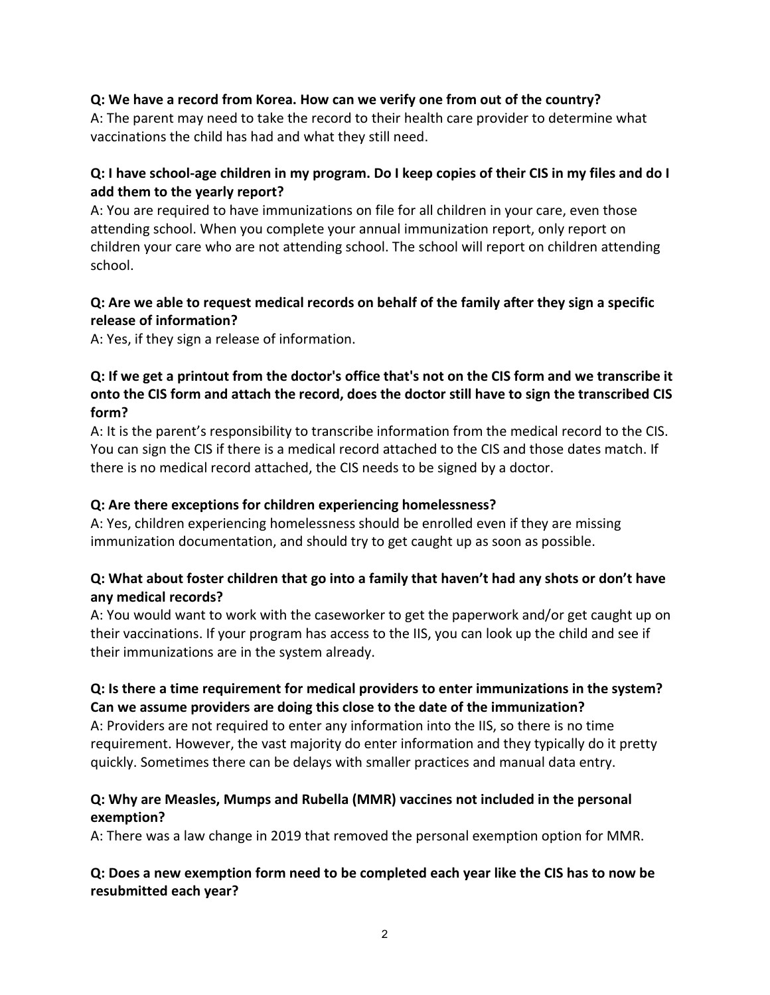### **Q: We have a record from Korea. How can we verify one from out of the country?**

A: The parent may need to take the record to their health care provider to determine what vaccinations the child has had and what they still need.

## **Q: I have school-age children in my program. Do I keep copies of their CIS in my files and do I add them to the yearly report?**

A: You are required to have immunizations on file for all children in your care, even those attending school. When you complete your annual immunization report, only report on children your care who are not attending school. The school will report on children attending school.

## **Q: Are we able to request medical records on behalf of the family after they sign a specific release of information?**

A: Yes, if they sign a release of information.

## **Q: If we get a printout from the doctor's office that's not on the CIS form and we transcribe it onto the CIS form and attach the record, does the doctor still have to sign the transcribed CIS form?**

A: It is the parent's responsibility to transcribe information from the medical record to the CIS. You can sign the CIS if there is a medical record attached to the CIS and those dates match. If there is no medical record attached, the CIS needs to be signed by a doctor.

### **Q: Are there exceptions for children experiencing homelessness?**

A: Yes, children experiencing homelessness should be enrolled even if they are missing immunization documentation, and should try to get caught up as soon as possible.

## **Q: What about foster children that go into a family that haven't had any shots or don't have any medical records?**

A: You would want to work with the caseworker to get the paperwork and/or get caught up on their vaccinations. If your program has access to the IIS, you can look up the child and see if their immunizations are in the system already.

# **Q: Is there a time requirement for medical providers to enter immunizations in the system? Can we assume providers are doing this close to the date of the immunization?**

A: Providers are not required to enter any information into the IIS, so there is no time requirement. However, the vast majority do enter information and they typically do it pretty quickly. Sometimes there can be delays with smaller practices and manual data entry.

## **Q: Why are Measles, Mumps and Rubella (MMR) vaccines not included in the personal exemption?**

A: There was a law change in 2019 that removed the personal exemption option for MMR.

### **Q: Does a new exemption form need to be completed each year like the CIS has to now be resubmitted each year?**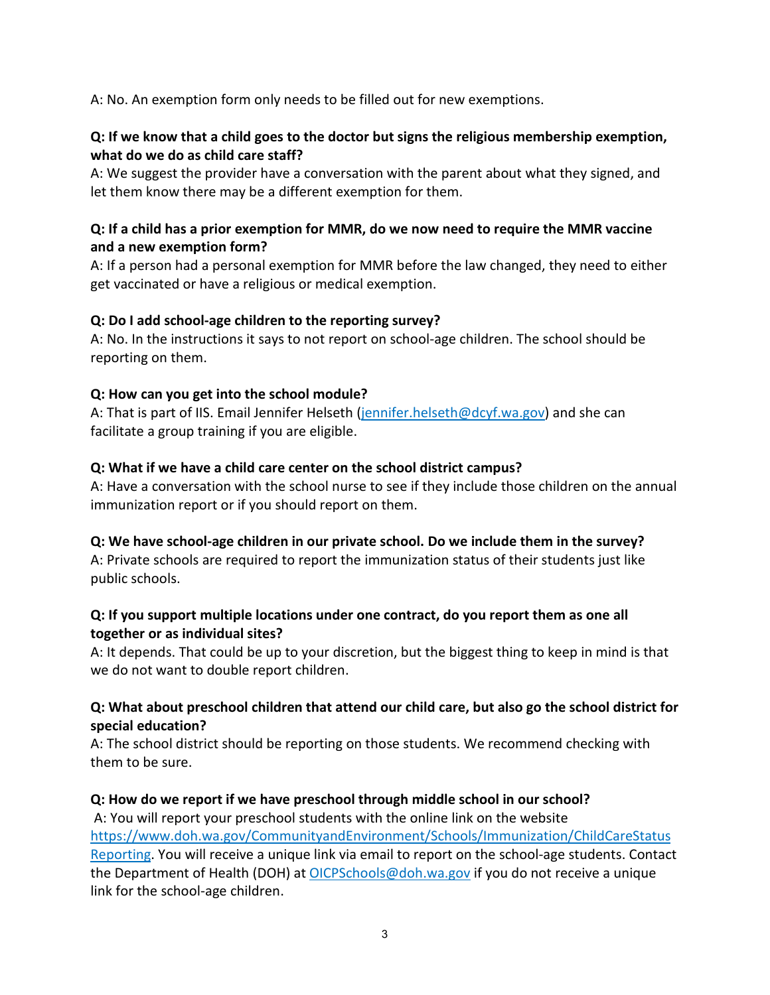A: No. An exemption form only needs to be filled out for new exemptions.

## **Q: If we know that a child goes to the doctor but signs the religious membership exemption, what do we do as child care staff?**

A: We suggest the provider have a conversation with the parent about what they signed, and let them know there may be a different exemption for them.

### **Q: If a child has a prior exemption for MMR, do we now need to require the MMR vaccine and a new exemption form?**

A: If a person had a personal exemption for MMR before the law changed, they need to either get vaccinated or have a religious or medical exemption.

## **Q: Do I add school-age children to the reporting survey?**

A: No. In the instructions it says to not report on school-age children. The school should be reporting on them.

### **Q: How can you get into the school module?**

A: That is part of IIS. Email Jennifer Helseth [\(jennifer.helseth@dcyf.wa.gov\)](mailto:jennifer.helseth@dcyf.wa.gov) and she can facilitate a group training if you are eligible.

## **Q: What if we have a child care center on the school district campus?**

A: Have a conversation with the school nurse to see if they include those children on the annual immunization report or if you should report on them.

### **Q: We have school-age children in our private school. Do we include them in the survey?**

A: Private schools are required to report the immunization status of their students just like public schools.

## **Q: If you support multiple locations under one contract, do you report them as one all together or as individual sites?**

A: It depends. That could be up to your discretion, but the biggest thing to keep in mind is that we do not want to double report children.

### **Q: What about preschool children that attend our child care, but also go the school district for special education?**

A: The school district should be reporting on those students. We recommend checking with them to be sure.

### **Q: How do we report if we have preschool through middle school in our school?**

A: You will report your preschool students with the online link on the website [https://www.doh.wa.gov/CommunityandEnvironment/Schools/Immunization/ChildCareStatus](https://www.doh.wa.gov/CommunityandEnvironment/Schools/Immunization/ChildCareStatusReporting) [Reporting.](https://www.doh.wa.gov/CommunityandEnvironment/Schools/Immunization/ChildCareStatusReporting) You will receive a unique link via email to report on the school-age students. Contact the Department of Health (DOH) at [OICPSchools@doh.wa.gov](mailto:OICPSchools@doh.wa.gov) if you do not receive a unique link for the school-age children.